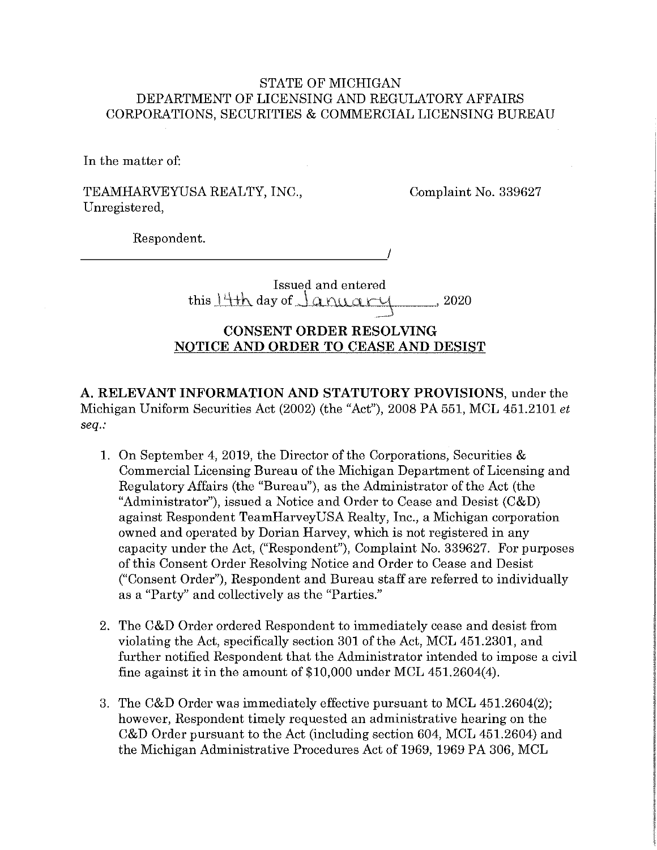# STATE OF MICHIGAN DEPARTMENT OF LICENSING AND REGULATORY AFFAIRS CORPORATIONS, SECURITIES & COMMERCIAL LICENSING BUREAU

In the matter of:

TEAMHARVEYUSA REALTY, INC., Unregistered,

Complaint No. 339627

Respondent. \_\_\_\_\_\_\_\_\_\_\_\_\_\_\_\_\_\_\_\_ ./

> Issued and entered this  $14+h$  day of  $J$  a nuary  $\frac{1}{2}$ , 2020

# **CONSENT ORDER RESOLVING NOTICE AND ORDER TO CEASE AND DESIST**

**A. RELEVANT INFORMATION AND STATUTORY PROVISIONS,** under the Michigan Uniform Securities Act (2002) (the "Act"), 2008 PA 551, MCL 451.2101 *et seq.:* 

- **1.** On September 4, 2019, the Director of the Corporations, Securities & Commercial Licensing Bureau of the Michigan Department of Licensing and Regulatory Affairs (the "Bureau"), as the Administrator of the Act (the "Administrator"), issued a Notice and Order to Cease and Desist (C&D) against Respondent TeamHarveyUSA Realty, Inc., a Michigan corporation owned and operated by Dorian Harvey, which is not registered in any capacity under the Act, ("Respondent"), Complaint No. 339627. For purposes of this Consent Order Resolving Notice and Order to Cease and Desist ("Consent Order"), Respondent and Bureau staff are referred to individually as a "Party" and collectively as the "Parties."
- 2. The C&D Order ordered Respondent to immediately cease and desist from violating the Act, specifically section 301 of the Act, MCL 451.2301, and further notified Respondent that the Administrator intended to impose a civil fine against it in the amount of \$10,000 under MCL 451.2604(4).
- 3. The C&D Order was immediately effective pursuant to MCL 451.2604(2); however, Respondent timely requested an administrative hearing on the C&D Order pursuant to the Act (including section 604, MCL 451.2604) and the Michigan Administrative Procedures Act of 1969, 1969 PA 306, MCL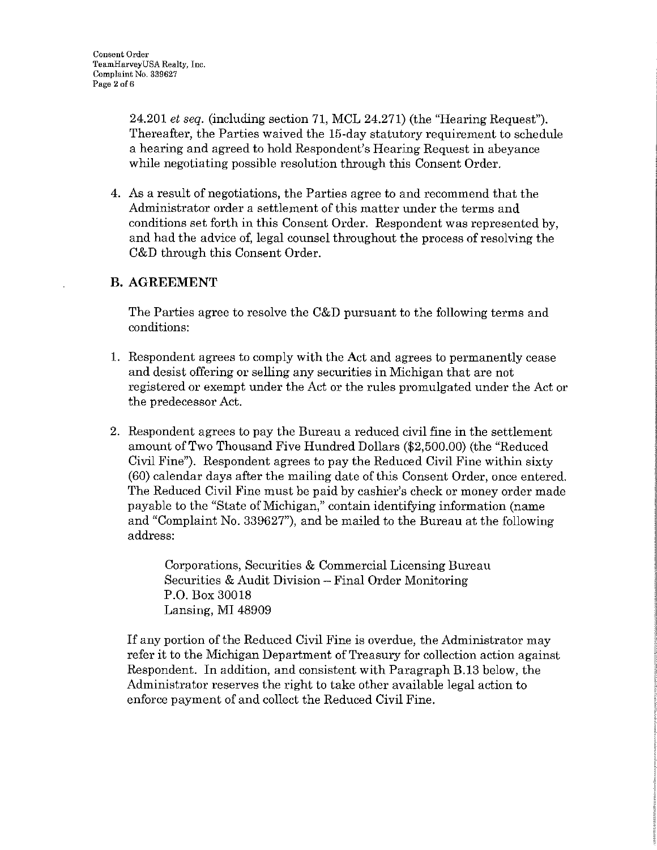24.201 *et seq.* (including section 71, MCL 24.271) (the "Hearing Request"). Thereafter, the Parties waived the 15-day statutory requirement to schedule a hearing and agreed to hold Respondent's Hearing Request in abeyance while negotiating possible resolution through this Consent Order.

4. As a result of negotiations, the Parties agree to and recommend that the Administrator order a settlement of this matter under the terms and conditions set forth in this Consent Order. Respondent was represented by, and had the advice of, legal counsel throughout the process of resolving the C&D through this Consent Order.

# **B.AGREEMENT**

The Parties agree to resolve the C&D pursuant to the following terms and conditions:

- 1. Respondent agrees to comply with the Act and agrees to permanently cease and desist offering or selling any securities in Michigan that are not registered or exempt under the Act or the rules promulgated under the Act or the predecessor Act.
- 2. Respondent agrees to pay the Bureau a reduced civil fine in the settlement amount of Two Thousand Five Hundred Dollars (\$2,500.00) (the "Reduced Civil Fine"). Respondent agrees to pay the Reduced Civil Fine within sixty (60) calendar days after the mailing date of this Consent Order, once entered. The Reduced Civil Fine must be paid by cashier's check or money order made payable to the "State of Michigan," contain identifying information (name and "Complaint No. 339627"), and be mailed to the Bureau at the following address:

Corporations, Securities & Commercial Licensing Bureau Securities & Audit Division - Final Order Monitoring P.O. Box 30018 Lansing, MI 48909

If any portion of the Reduced Civil Fine is overdue, the Administrator may refer it to the Michigan Department of Treasury for collection action against Respondent. In addition, and consistent with Paragraph B.13 below, the Administrator reserves the right to take other available legal action to enforce payment of and collect the Reduced Civil Fine.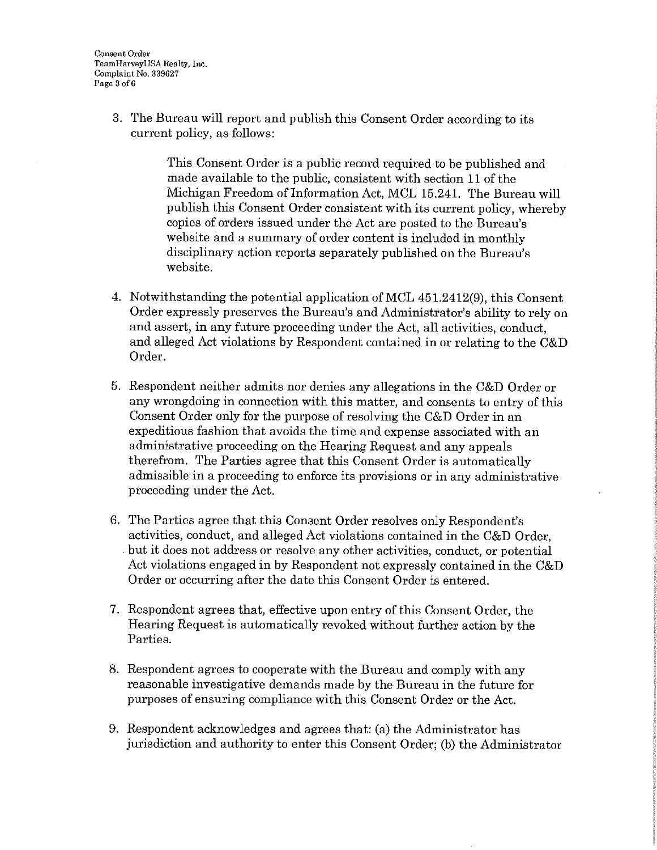3. The Bureau will report and publish this Consent Order according to its current policy, as follows:

> This Consent Order is a public record required to be published and made available to the public, consistent with section 11 of the Michigan Freedom of Information Act, MCL 15.241. The Bureau will publish this Consent Order consistent with its current policy, whereby copies of orders issued under the Act are posted to the Bureau's website and a summary of order content is included in monthly disciplinary action reports separately published on the Bureau's website.

- 4. Notwithstanding the potential application of MCL 451.2412(9), this Consent Order expressly preserves the Bureau's and Administrator's ability to rely on and assert, in any future proceeding under the Act, all activities, conduct, and alleged Act violations by Respondent contained in or relating to the C&D Order.
- 5. Respondent neither admits nor denies any allegations in the C&D Order or any wrongdoing in connection with this matter, and consents to entry of this Consent Order only for the purpose of resolving the C&D Order in an expeditious fashion that avoids the time and expense associated with an administrative proceeding on the Hearing Request and any appeals therefrom. The Parties agree that this Consent Order is automatically admissible in a proceeding to enforce its provisions or in any administrative proceeding under the Act.
- 6. The Parties agree that this Consent Order resolves only Respondent's activities, conduct, and alleged Act violations contained in the C&D Order, . but it does not address or resolve any other activities, conduct, or potential Act violations engaged in by Respondent not expressly contained in the C&D Order or occurring after the date this Consent Order is entered.
- 7. Respondent agrees that, effective upon entry of this Consent Order, the Hearing Request is automatically revoked without further action by the Parties.
- 8. Respondent agrees to cooperate with the Bureau and comply with any reasonable investigative demands made by the Bureau in the future for purposes of ensuring compliance with this Consent Order or the Act.
- 9. Respondent acknowledges and agrees that: (a) the Administrator has jurisdiction and authority to enter this Consent Order; (b) the Administrator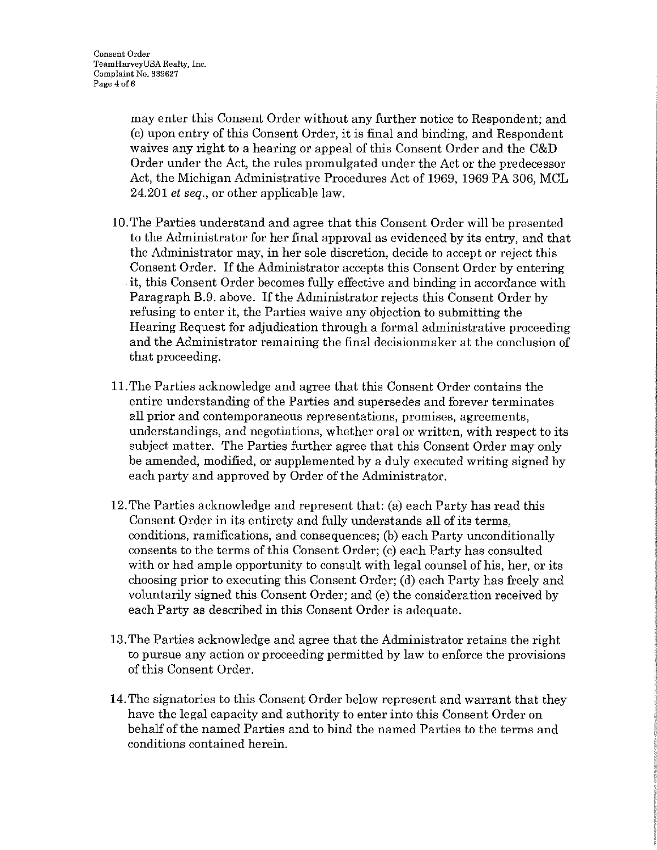may enter this Consent Order without any further notice to Respondent; and (c) upon entry of this Consent Order, it is final and binding, and Respondent waives any right to a hearing or appeal of this Consent Order and the C&D Order under the Act, the rules promulgated under the Act or the predecessor Act, the Michigan Administrative Procedures Act of 1969, 1969 PA 306, MCL 24.201 *et seq.,* or other applicable law.

- 10.The Parties understand and agree that this Consent Order will be presented to the Administrator for her final approval as evidenced by its entry, and that the Administrator may, in her sole discretion, decide to accept or reject this Consent Order. If the Administrator accepts this Consent Order by entering it, this Consent Order becomes fully effective and binding in accordance with Paragraph B.9. above. If the Administrator rejects this Consent Order by refusing to enter it, the Parties waive any objection to submitting the Hearing Request for adjudication through a formal administrative proceeding and the Administrator remaining the final decisionmaker at the conclusion of that proceeding.
- 11. The Parties acknowledge and agree that this Consent Order contains the entire understanding of the Parties and supersedes and forever terminates all prior and contemporaneous representations, promises, agreements, understandings, and negotiations, whether oral or written, with respect to its subject matter. The Parties further agree that this Consent Order may only be amended, modified, or supplemented by a duly executed writing signed by each party and approved by Order of the Administrator.
- 12. The Parties acknowledge and represent that: (a) each Party has read this Consent Order in its entirety and fully understands all of its terms, conditions, ramifications, and consequences; (b) each Party unconditionally consents to the terms of this Consent Order; (c) each Party has consulted with or had ample opportunity to consult with legal counsel of his, her, or its choosing prior to executing this Consent Order; (d) each Party has freely and voluntarily signed this Consent Order; and (e) the consideration received by each Party as described in this Consent Order is adequate.
- 13. The Parties acknowledge and agree that the Administrator retains the right to pursue any action or proceeding permitted by law to enforce the provisions of this Consent Order.
- 14. The signatories to this Consent Order below represent and warrant that they have the legal capacity and authority to enter into this Consent Order on behalf of the named Parties and to bind the named Parties to the terms and conditions contained herein.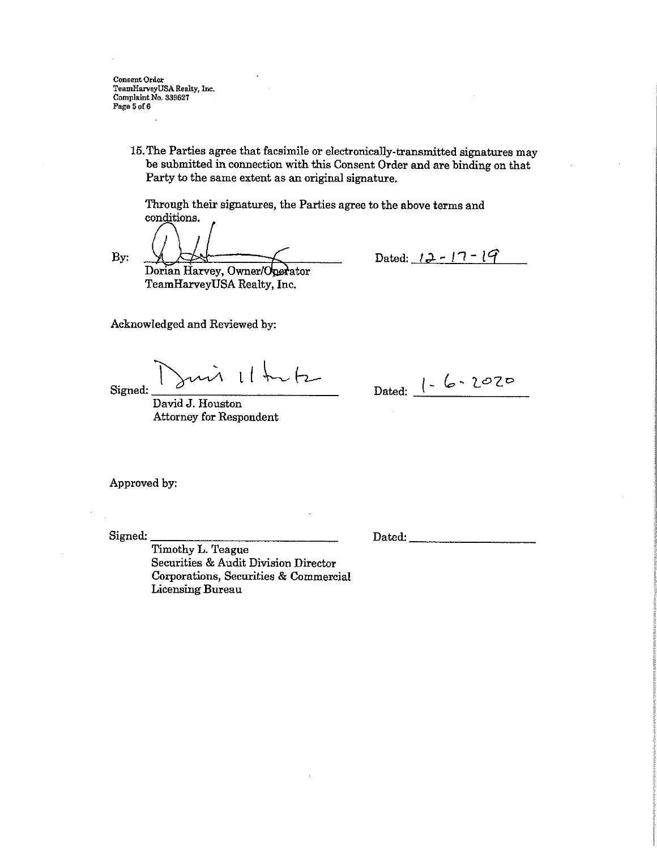**Consent Order TeamHarveyUSA Realty,** Inc. **Complaint** No. **839627 Page 5of6** 

> 15. The Parties agree that facsimile or electronically-transmitted signatures may be submitted in connection with this Consent Order and are binding on that Party to the same extent as an original signature.

Through their signatures, the Parties agree to the above terms and conditions.

By:

Dorian Harvey, Owner/Operator TeamHarveyUSA Realty, Inc.

Dated:  $12 - 17 - 19$ 

Acknowledged and Reviewed by:

Signed: ~ L [ L h--

David J. Houston Attorney for Respondent

Dated: |- 6 \ *L*OZO

Approved by:

Signed: \_\_\_\_\_\_\_\_\_\_\_\_\_ \_

Dated:

Timothy L. Teague Securities & Audit Division Director Corporations, Securities & Commercial Licensing Bureau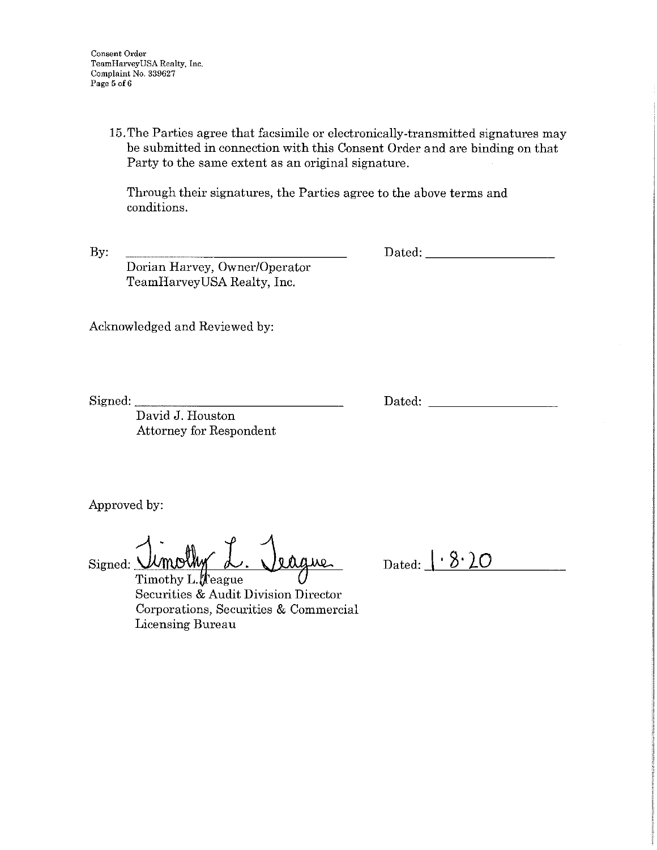**Consent Order TeamHarveyUSA Realty, Inc. Complaint No. 339627 Page 5 of6** 

> 15. The Parties agree that facsimile or electronically-transmitted signatures may be submitted in connection with this Consent Order and are binding on that Party to the same extent as an original signature.

Through their signatures, the Parties agree to the above terms and conditions.

By:

Dated: \_\_\_\_\_\_\_\_ \_

Dorian Harvey, Owner/Operator TeamHarveyUSA Realty, Inc.

Acknowledged and Reviewed by:

Signed:

Dated:

David J. Houston Attorney for Respondent

Approved by:

Signed: Umolhy d. Veague

Dated: I ' **8• 20** 

Timothy L.  $\oint$  eague Securities & Audit Division Director Corporations, Securities & Commercial Licensing Bureau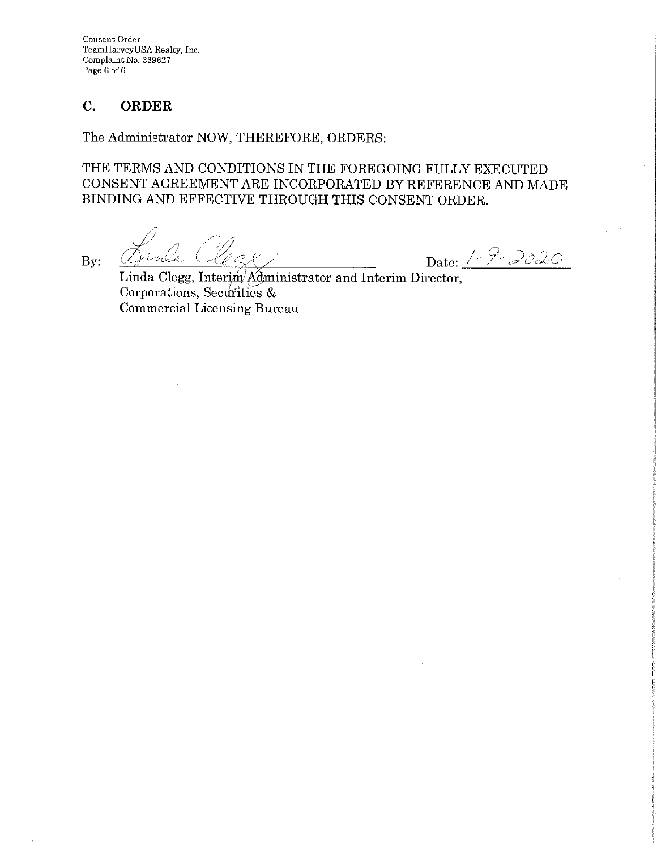**Consent Order TeamHarveyUSA Realty,** Inc. **Complaint** No. **339627 Page 6 of6** 

# **C. ORDER**

The Administrator NOW, THEREFORE, ORDERS:

THE TERMS AND CONDITIONS IN THE FOREGOING FULLY EXECUTED CONSENT AGREEMENT ARE INCORPORATED BY REFERENCE AND MADE BINDING AND EFFECTIVE THROUGH THIS CONSENT ORDER.

By: Quida Clege Date: 1-9-2020

Linda Clegg, Interim/Administrator and Interim Director, Corporations, Securities & Commercial Licensing Bureau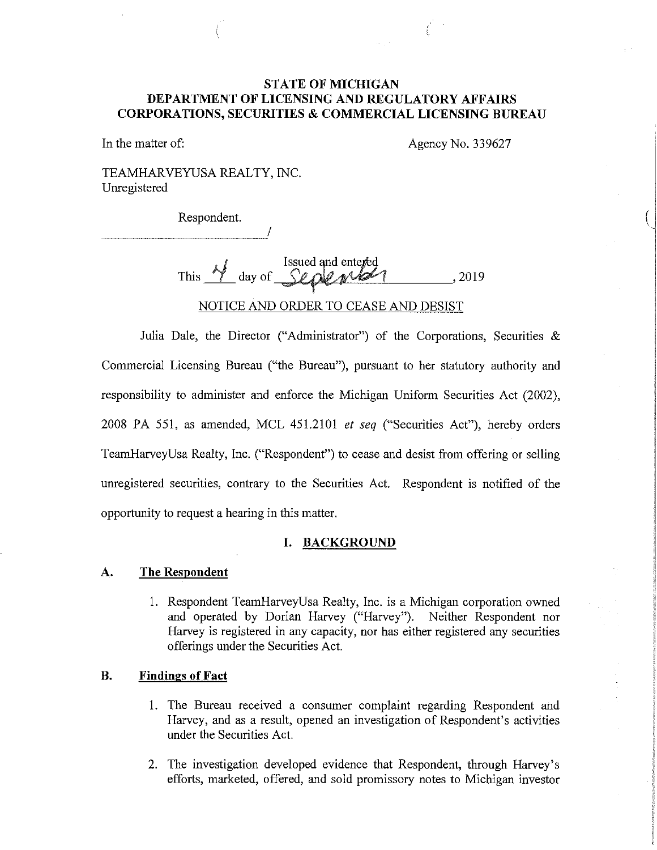# **STATE OF MICHIGAN DEPARTMENT OF LICENSING AND REGULATORY AFFAIRS CORPORATIONS, SECURITIES & COMMERCIAL LICENSING BUREAU**

In the matter of: Agency No. 339627

 $(\,|\,$ 

TEAMHARVEYUSA REALTY, INC. Unregistered

Respondent.

I

This M day of September 2019 NOTICE AND ORDER TO CEASE AND DESIST

Julia Dale, the Director ("Administrator") of the Corporations, Securities & Commercial Licensing Bureau ("the Bureau"), pursuant to her statutory authority and responsibility to administer and enforce the Michigan Uniform Securities Act (2002), 2008 PA 551, as amended, MCL 451.2101 *et seq* ("Securities Act"), hereby orders TeamHarveyUsa Realty, Inc. ("Respondent") to cease and desist from offering or selling unregistered securities, contrary to the Securities Act. Respondent is notified of the opportunity to request a hearing in this matter.

### **I. BACKGROUND**

#### **A. The Respondent**

1. Respondent TeamHarveyUsa Realty, Inc. is a Michigan corporation owned and operated by Dorian Harvey ("Harvey"). Neither Respondent nor Harvey is registered in any capacity, nor has either registered any securities offerings under the Securities Act.

# **B. Findings of Fact**

- 1. The Bureau received a consumer complaint regarding Respondent and Harvey, and as a result, opened an investigation of Respondent's activities under the Securities Act.
- 2. The investigation developed evidence that Respondent, through Harvey's efforts, marketed, offered, and sold promissory notes to Michigan investor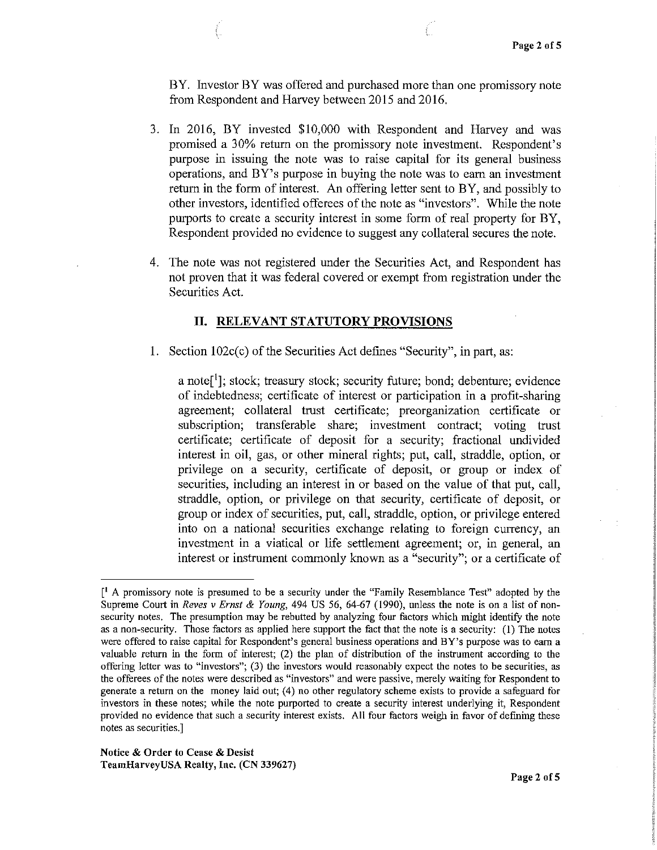BY. Investor BY was offered and purchased more than one promissory note from Respondent and Harvey between 2015 and 2016.

- 3. In 2016, BY invested \$10,000 with Respondent and Harvey and was promised a 30% return on the promissory note investment. Respondent's purpose in issuing the note was to raise capital for its general business operations, and BY's purpose in buying the note was to earn an investment return in the form of interest. An offering letter sent to BY, and possibly to other investors, identified offerees of the note as "investors". While the note purports to create a security interest in some form of real property for BY, Respondent provided no evidence to suggest any collateral secures the note.
- 4. The note was not registered under the Securities Act, and Respondent has not proven that it was federal covered or exempt from registration under the Securities Act.

### **II. RELEVANT STATUTORY PROVISIONS**

1. Section 102c(c) of the Securities Act defines "Security", in part, as:

a note<sup>[1</sup>]; stock; treasury stock; security future; bond; debenture; evidence of indebtedness; certificate of interest or participation in a profit-sharing agreement; collateral trust certificate; preorganization certificate or subscription; transferable share; investment contract; voting trust certificate; certificate of deposit for a security; fractional undivided interest in oil, gas, or other mineral rights; put, call, straddle, option, or privilege on a security, certificate of deposit, or group or index of securities, including an interest in or based on the value of that put, call, straddle, option, or privilege on that security, certificate of deposit, or group or index of securities, put, call, straddle, option, or privilege entered into on a national securities exchange relating to foreign currency, an investment in a viatical or life settlement agreement; or, in general, an interest or instrument commonly known as a "security"; or a certificate of

<sup>[</sup> 1 A promissory note is presumed to be a security under the "Family Resemblance Test" adopted by the Supreme Court in *Reves v Ernst & Young,* 494 US 56, 64-67 (1990), unless the note is on a list of nonsecurity notes. The presumption may be rebutted by analyzing four factors which might identify the note as a non-security. Those factors as applied here support the fact that the note is a security: (I) The notes **were offered to raise capital for Respondent's general business operations and BY's purpose was to earn a**  valuable return in the form of interest; (2) the plan of distribution of the instrument according to the **offering letter was to "investors"; (3) the investors would reasonably expect the notes to be securities, as the offerees of the notes were described as 1 'investors" and were passive, merely waiting for Respondent to**  generate a return on the money laid out; (4) no other regulatory scheme exists to provide a safeguard for investors in these notes; while the note purported to create a security interest underlying it, Respondent provided no evidence that such a security interest exists. All four factors weigh in favor of defining these **notes as securities.]**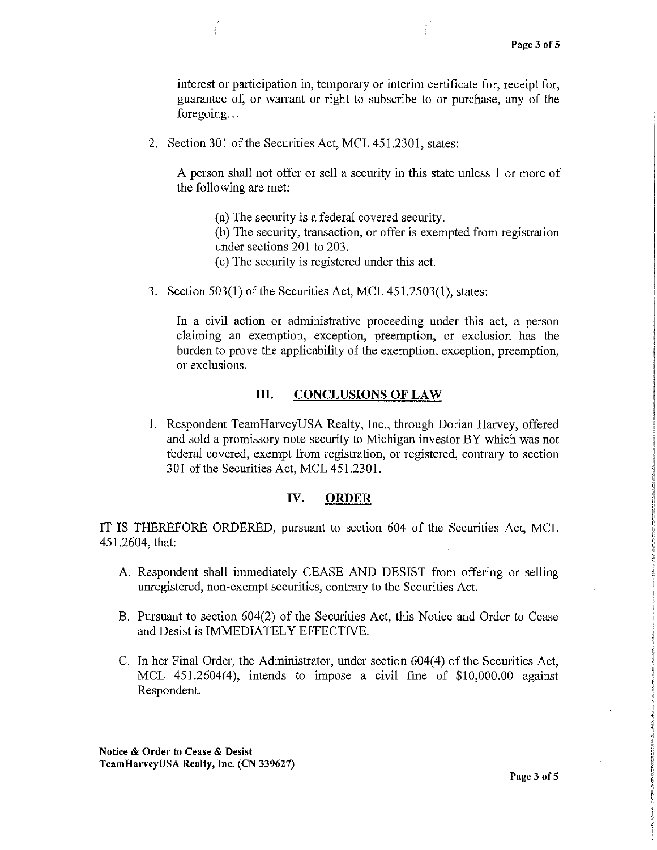interest or participation in, temporary or interim certificate for, receipt for, guarantee of, or warrant or right to subscribe to or purchase, any of the foregoing...

2. Section 301 of the Securities Act, MCL 451.2301, states:

A person shall not offer or sell a security in this state unless 1 or more of the following are met:

(a) The security is a federal covered security.

(b) The security, transaction, or offer is exempted from registration under sections 201 to 203.

- ( c) The security is registered under this act.
- 3. Section 503(1) of the Securities Act, MCL 451.2503(1 ), states:

In a civil action or administrative proceeding under this act, a person claiming an exemption, exception, preemption, or exclusion has the burden to prove the applicability of the exemption, exception, preemption, or exclusions.

### III. **CONCLUSIONS OF LAW**

1. Respondent TeamHarveyUSA Realty, Inc., through Dorian Harvey, offered and sold a promissory note security to Michigan investor BY which was not federal covered, exempt from registration, or registered, contrary to section 301 of the Securities Act, MCL 451.2301.

## **IV. ORDER**

IT IS THEREFORE ORDERED, pursuant to section 604 of the Securities Act, MCL 451.2604, that:

- A Respondent shall immediately CEASE AND DESIST from offering or selling unregistered, non-exempt securities, contrary to the Securities Act.
- B. Pursuant to section 604(2) of the Securities Act, this Notice and Order to Cease and Desist is IMMEDIATELY EFFECTIVE.
- C. In her Final Order, the Administrator, under section 604(4) of the Securities Act, MCL 451.2604(4), intends to impose a civil fine of \$10,000.00 against Respondent.

**Notice** & **Order to Cease** & **Desist TeamHarveyUSA Realty, Inc. (CN 339627)**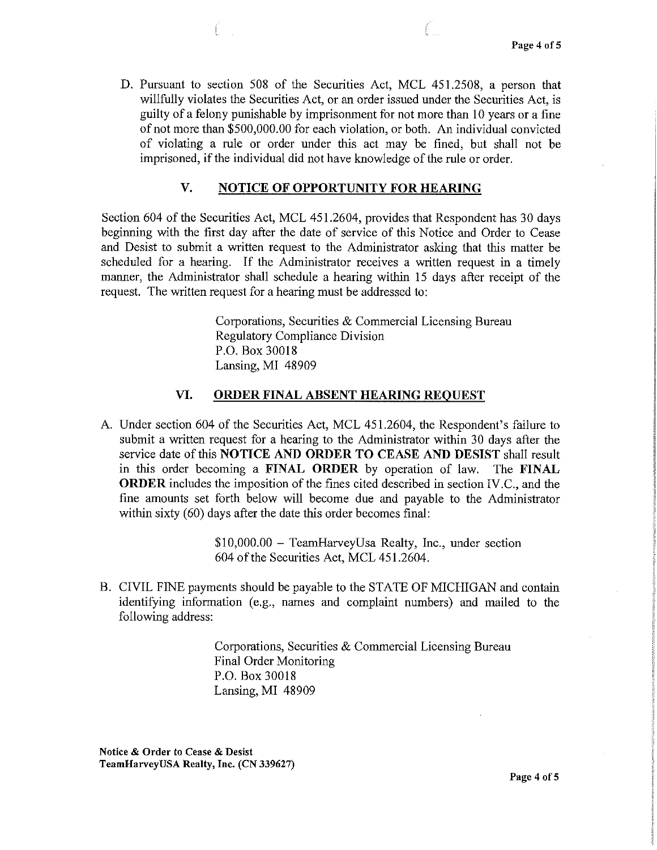D. Pursuant to section 508 of the Securities Act, MCL 451.2508, a person that willfully violates the Securities Act, or an order issued under the Securities Act, is guilty of a felony punishable by imprisonment for not more than 10 years or a fine of not more than \$500,000.00 for each violation, or both. An individual convicted of violating a rule or order under this act may be fined, but shall not be imprisoned, if the individual did not have knowledge of the rule or order.

## **V. NOTICE OF OPPORTUNITY FOR HEARING**

Section 604 of the Securities Act, MCL 451.2604, provides that Respondent has 30 days beginning with the first day after the date of service of this Notice and Order to Cease and Desist to submit a written request to the Administrator asking that this matter be scheduled for a hearing. If the Administrator receives a written request in a timely manner, the Administrator shall schedule a hearing within 15 days after receipt of the request. The written request for a hearing must be addressed to:

> Corporations, Securities & Commercial Licensing Bureau Regulatory Compliance Division P.O. Box 30018 Lansing, MI 48909

#### **VI. ORDER FINAL ABSENT HEARING REQUEST**

A. Under section 604 of the Securities Act, MCL 451.2604, the Respondent's failure to submit a written request for a hearing to the Administrator within 30 days after the service date of this **NOTICE AND ORDER TO CEASE AND DESIST** shall result in this order becoming a **FINAL ORDER** by operation of law. The **FINAL ORDER** includes the imposition of the fines cited described in section IV.C., and the fine amounts set forth below will become due and payable to the Administrator within sixty (60) days after the date this order becomes final:

> \$10,000.00 - TeamHarveyUsa Realty, Inc., under section 604 of the Securities Act, MCL 451.2604.

B. CIVIL FINE payments should be payable to the STATE OF MICHIGAN and contain identifying information (e.g., names and complaint numbers) and mailed to the following address:

> Corporations, Securities & Commercial Licensing Bureau Final Order Monitoring P.O. Box 30018 Lansing, MI 48909

Notice & Order to Cease & Desist TeamHarveyUSA Realty, Inc. (CN 339627)